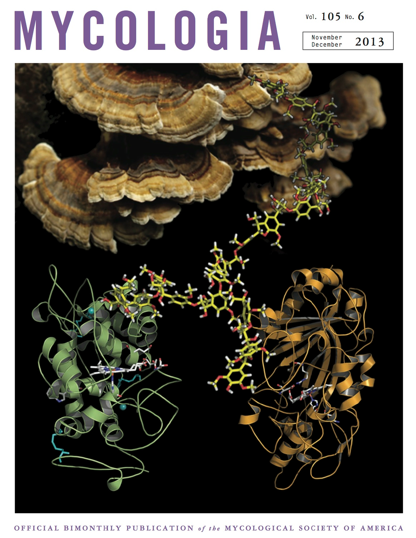# MYCOLOGIA November December

VOI. 105 No. 6 2013

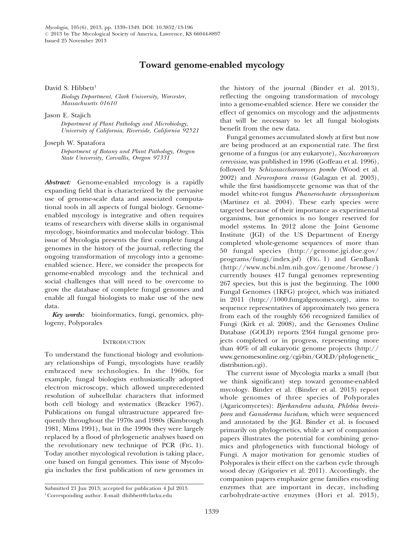## Toward genome-enabled mycology

David S. Hibbett $<sup>1</sup>$ </sup>

Biology Department, Clark University, Worcester, Massachusetts 01610

Jason E. Stajich

Department of Plant Pathology and Microbiology, University of California, Riverside, California 92521

Joseph W. Spatafora

Department of Botany and Plant Pathology, Oregon State University, Corvallis, Oregon 97331

Abstract: Genome-enabled mycology is a rapidly expanding field that is characterized by the pervasive use of genome-scale data and associated computational tools in all aspects of fungal biology. Genomeenabled mycology is integrative and often requires teams of researchers with diverse skills in organismal mycology, bioinformatics and molecular biology. This issue of Mycologia presents the first complete fungal genomes in the history of the journal, reflecting the ongoing transformation of mycology into a genomeenabled science. Here, we consider the prospects for genome-enabled mycology and the technical and social challenges that will need to be overcome to grow the database of complete fungal genomes and enable all fungal biologists to make use of the new data.

Key words: bioinformatics, fungi, genomics, phylogeny, Polyporales

### **INTRODUCTION**

To understand the functional biology and evolutionary relationships of Fungi, mycologists have readily embraced new technologies. In the 1960s, for example, fungal biologists enthusiastically adopted electron microscopy, which allowed unprecedented resolution of subcellular characters that informed both cell biology and systematics (Bracker 1967). Publications on fungal ultrastructure appeared frequently throughout the 1970s and 1980s (Kimbrough 1981, Mims 1991), but in the 1990s they were largely replaced by a flood of phylogenetic analyses based on the revolutionary new technique of PCR (FIG. 1). Today another mycological revolution is taking place, one based on fungal genomes. This issue of Mycologia includes the first publication of new genomes in

the history of the journal (Binder et al. 2013), reflecting the ongoing transformation of mycology into a genome-enabled science. Here we consider the effect of genomics on mycology and the adjustments that will be necessary to let all fungal biologists benefit from the new data.

Fungal genomes accumulated slowly at first but now are being produced at an exponential rate. The first genome of a fungus (or any eukaryote), Saccharomyces cerevisiae, was published in 1996 (Goffeau et al. 1996), followed by *Schizosaccharomyces pombe* (Wood et al. 2002) and Neurospora crassa (Galagan et al. 2003), while the first basidiomycete genome was that of the model white-rot fungus Phanerochaete chrysosporium (Martinez et al. 2004). These early species were targeted because of their importance as experimental organisms, but genomics is no longer reserved for model systems. In 2012 alone the Joint Genome Institute (JGI) of the US Department of Energy completed whole-genome sequences of more than 50 fungal species (http://genome.jgi.doe.gov/ programs/fungi/index.jsf) (FIG. 1) and GenBank (http://www.ncbi.nlm.nih.gov/genome/browse/) currently houses 417 fungal genomes representing 267 species, but this is just the beginning. The 1000 Fungal Genomes (1KFG) project, which was initiated in 2011 (http://1000.fungalgenomes.org), aims to sequence representatives of approximately two genera from each of the roughly 656 recognized families of Fungi (Kirk et al. 2008), and the Genomes Online Database (GOLD) reports 2364 fungal genome projects completed or in progress, representing more than 40% of all eukaryotic genome projects (http:// www.genomesonline.org/cgi-bin/GOLD/phylogenetic\_ distribution.cgi).

The current issue of Mycologia marks a small (but we think significant) step toward genome-enabled mycology. Binder et al. (Binder et al. 2013) report whole genomes of three species of Polyporales (Agaricomycetes): Bjerkandera adusta, Phlebia brevispora and Ganoderma lucidum, which were sequenced and annotated by the JGI. Binder et al. is focused primarily on phylogenetics, while a set of companion papers illustrates the potential for combining genomics and phylogenetics with functional biology of Fungi. A major motivation for genomic studies of Polyporales is their effect on the carbon cycle through wood decay (Grigoriev et al. 2011). Accordingly, the companion papers emphasize gene families encoding enzymes that are important in decay, including carbohydrate-active enzymes (Hori et al. 2013),

Submitted 21 Jun 2013; accepted for publication 4 Jul 2013. 1Corresponding author. E-mail: dhibbett@clarku.edu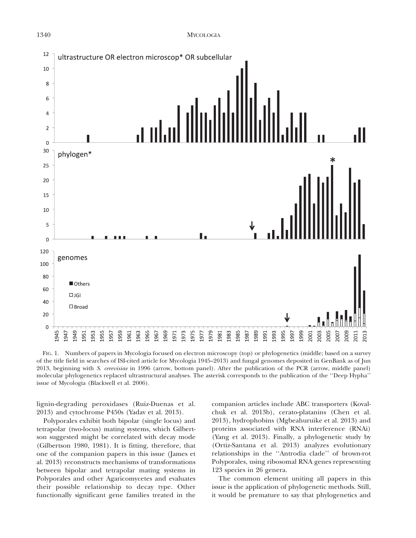

FIG. 1. Numbers of papers in Mycologia focused on electron microscopy (top) or phylogenetics (middle; based on a survey of the title field in searches of ISI-cited article for Mycologia 1945–2013) and fungal genomes deposited in GenBank as of Jun 2013, beginning with S. cerevisiae in 1996 (arrow, bottom panel). After the publication of the PCR (arrow, middle panel) molecular phylogenetics replaced ultrastructural analyses. The asterisk corresponds to the publication of the ''Deep Hypha'' issue of Mycologia (Blackwell et al. 2006).

lignin-degrading peroxidases (Ruiz-Duenas et al. 2013) and cytochrome P450s (Yadav et al. 2013).

Polyporales exhibit both bipolar (single locus) and tetrapolar (two-locus) mating systems, which Gilbertson suggested might be correlated with decay mode (Gilbertson 1980, 1981). It is fitting, therefore, that one of the companion papers in this issue (James et al. 2013) reconstructs mechanisms of transformations between bipolar and tetrapolar mating systems in Polyporales and other Agaricomycetes and evaluates their possible relationship to decay type. Other functionally significant gene families treated in the

companion articles include ABC transporters (Kovalchuk et al. 2013b), cerato-platanins (Chen et al. 2013), hydrophobins (Mgbeahuruike et al. 2013) and proteins associated with RNA interference (RNAi) (Yang et al. 2013). Finally, a phylogenetic study by (Ortiz-Santana et al. 2013) analyzes evolutionary relationships in the ''Antrodia clade'' of brown-rot Polyporales, using ribosomal RNA genes representing 123 species in 26 genera.

The common element uniting all papers in this issue is the application of phylogenetic methods. Still, it would be premature to say that phylogenetics and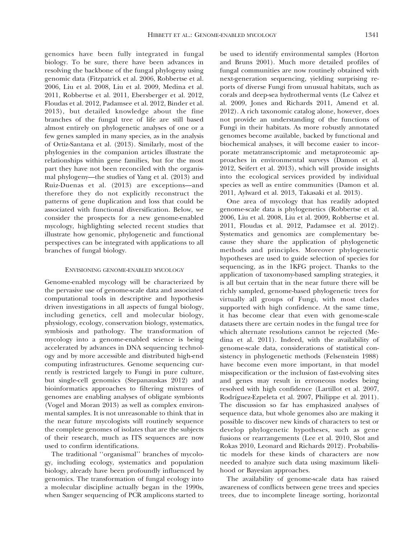genomics have been fully integrated in fungal biology. To be sure, there have been advances in resolving the backbone of the fungal phylogeny using genomic data (Fitzpatrick et al. 2006, Robbertse et al. 2006, Liu et al. 2008, Liu et al. 2009, Medina et al. 2011, Robbertse et al. 2011, Ebersberger et al. 2012, Floudas et al. 2012, Padamsee et al. 2012, Binder et al. 2013), but detailed knowledge about the fine branches of the fungal tree of life are still based almost entirely on phylogenetic analyses of one or a few genes sampled in many species, as in the analysis of Ortiz-Santana et al. (2013). Similarly, most of the phylogenies in the companion articles illustrate the relationships within gene families, but for the most part they have not been reconciled with the organismal phylogeny—the studies of Yang et al. (2013) and Ruiz-Duenas et al. (2013) are exceptions—and therefore they do not explicitly reconstruct the patterns of gene duplication and loss that could be associated with functional diversification. Below, we consider the prospects for a new genome-enabled mycology, highlighting selected recent studies that illustrate how genomic, phylogenetic and functional perspectives can be integrated with applications to all branches of fungal biology.

#### ENVISIONING GENOME-ENABLED MYCOLOGY

Genome-enabled mycology will be characterized by the pervasive use of genome-scale data and associated computational tools in descriptive and hypothesisdriven investigations in all aspects of fungal biology, including genetics, cell and molecular biology, physiology, ecology, conservation biology, systematics, symbiosis and pathology. The transformation of mycology into a genome-enabled science is being accelerated by advances in DNA sequencing technology and by more accessible and distributed high-end computing infrastructures. Genome sequencing currently is restricted largely to Fungi in pure culture, but single-cell genomics (Stepanauskas 2012) and bioinformatics approaches to filtering mixtures of genomes are enabling analyses of obligate symbionts (Vogel and Moran 2013) as well as complex environmental samples. It is not unreasonable to think that in the near future mycologists will routinely sequence the complete genomes of isolates that are the subjects of their research, much as ITS sequences are now used to confirm identifications.

The traditional ''organismal'' branches of mycology, including ecology, systematics and population biology, already have been profoundly influenced by genomics. The transformation of fungal ecology into a molecular discipline actually began in the 1990s, when Sanger sequencing of PCR amplicons started to

be used to identify environmental samples (Horton and Bruns 2001). Much more detailed profiles of fungal communities are now routinely obtained with next-generation sequencing, yielding surprising reports of diverse Fungi from unusual habitats, such as corals and deep-sea hydrothermal vents (Le Calvez et al. 2009, Jones and Richards 2011, Amend et al. 2012). A rich taxonomic catalog alone, however, does not provide an understanding of the functions of Fungi in their habitats. As more robustly annotated genomes become available, backed by functional and biochemical analyses, it will become easier to incorporate metatranscriptomic and metaproteomic approaches in environmental surveys (Damon et al. 2012, Seifert et al. 2013), which will provide insights into the ecological services provided by individual species as well as entire communities (Damon et al. 2011, Aylward et al. 2013, Takasaki et al. 2013).

One area of mycology that has readily adopted genome-scale data is phylogenetics (Robbertse et al. 2006, Liu et al. 2008, Liu et al. 2009, Robbertse et al. 2011, Floudas et al. 2012, Padamsee et al. 2012). Systematics and genomics are complementary because they share the application of phylogenetic methods and principles. Moreover phylogenetic hypotheses are used to guide selection of species for sequencing, as in the 1KFG project. Thanks to the application of taxonomy-based sampling strategies, it is all but certain that in the near future there will be richly sampled, genome-based phylogenetic trees for virtually all groups of Fungi, with most clades supported with high confidence. At the same time, it has become clear that even with genome-scale datasets there are certain nodes in the fungal tree for which alternate resolutions cannot be rejected (Medina et al. 2011). Indeed, with the availability of genome-scale data, considerations of statistical consistency in phylogenetic methods (Felsenstein 1988) have become even more important, in that model misspecification or the inclusion of fast-evolving sites and genes may result in erroneous nodes being resolved with high confidence (Lartillot et al. 2007, Rodríguez-Ezpeleta et al. 2007, Philippe et al. 2011). The discussion so far has emphasized analyses of sequence data, but whole genomes also are making it possible to discover new kinds of characters to test or develop phylogenetic hypotheses, such as gene fusions or rearrangements (Lee et al. 2010, Slot and Rokas 2010, Leonard and Richards 2012). Probabilistic models for these kinds of characters are now needed to analyze such data using maximum likelihood or Bayesian approaches.

The availability of genome-scale data has raised awareness of conflicts between gene trees and species trees, due to incomplete lineage sorting, horizontal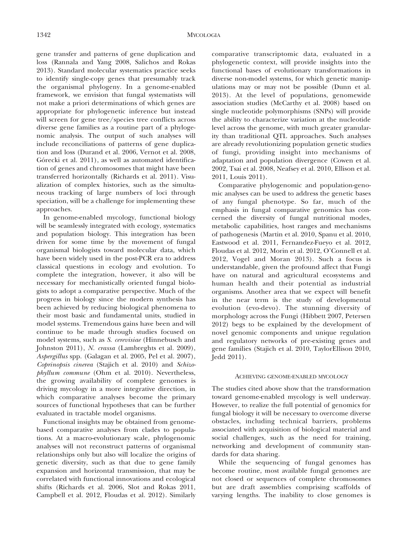gene transfer and patterns of gene duplication and loss (Rannala and Yang 2008, Salichos and Rokas 2013). Standard molecular systematics practice seeks to identify single-copy genes that presumably track the organismal phylogeny. In a genome-enabled framework, we envision that fungal systematists will not make a priori determinations of which genes are appropriate for phylogenetic inference but instead will screen for gene tree/species tree conflicts across diverse gene families as a routine part of a phylogenomic analysis. The output of such analyses will include reconciliations of patterns of gene duplication and loss (Durand et al. 2006, Vernot et al. 2008, Górecki et al. 2011), as well as automated identification of genes and chromosomes that might have been transferred horizontally (Richards et al. 2011). Visualization of complex histories, such as the simultaneous tracking of large numbers of loci through speciation, will be a challenge for implementing these approaches.

In genome-enabled mycology, functional biology will be seamlessly integrated with ecology, systematics and population biology. This integration has been driven for some time by the movement of fungal organismal biologists toward molecular data, which have been widely used in the post-PCR era to address classical questions in ecology and evolution. To complete the integration, however, it also will be necessary for mechanistically oriented fungal biologists to adopt a comparative perspective. Much of the progress in biology since the modern synthesis has been achieved by reducing biological phenomena to their most basic and fundamental units, studied in model systems. Tremendous gains have been and will continue to be made through studies focused on model systems, such as S. cerevisiae (Hinnebusch and Johnston 2011), N. crassa (Lambreghts et al. 2009), Aspergillus spp. (Galagan et al. 2005, Pel et al. 2007), Coprinopsis cinerea (Stajich et al. 2010) and Schizophyllum commune (Ohm et al. 2010). Nevertheless, the growing availability of complete genomes is driving mycology in a more integrative direction, in which comparative analyses become the primary sources of functional hypotheses that can be further evaluated in tractable model organisms.

Functional insights may be obtained from genomebased comparative analyses from clades to populations. At a macro-evolutionary scale, phylogenomic analyses will not reconstruct patterns of organismal relationships only but also will localize the origins of genetic diversity, such as that due to gene family expansion and horizontal transmission, that may be correlated with functional innovations and ecological shifts (Richards et al. 2006, Slot and Rokas 2011, Campbell et al. 2012, Floudas et al. 2012). Similarly comparative transcriptomic data, evaluated in a phylogenetic context, will provide insights into the functional bases of evolutionary transformations in diverse non-model systems, for which genetic manipulations may or may not be possible (Dunn et al. 2013). At the level of populations, genomewide association studies (McCarthy et al. 2008) based on single nucleotide polymorphisms (SNPs) will provide the ability to characterize variation at the nucleotide level across the genome, with much greater granularity than traditional QTL approaches. Such analyses are already revolutionizing population genetic studies of fungi, providing insight into mechanisms of adaptation and population divergence (Cowen et al. 2002, Tsai et al. 2008, Neafsey et al. 2010, Ellison et al. 2011, Louis 2011).

Comparative phylogenomic and population-genomic analyses can be used to address the genetic bases of any fungal phenotype. So far, much of the emphasis in fungal comparative genomics has concerned the diversity of fungal nutritional modes, metabolic capabilities, host ranges and mechanisms of pathogenesis (Martin et al. 2010, Spanu et al. 2010, Eastwood et al. 2011, Fernandez-Fueyo et al. 2012, Floudas et al. 2012, Morin et al. 2012, O'Connell et al. 2012, Vogel and Moran 2013). Such a focus is understandable, given the profound affect that Fungi have on natural and agricultural ecosystems and human health and their potential as industrial organisms. Another area that we expect will benefit in the near term is the study of developmental evolution (evo-devo). The stunning diversity of morphology across the Fungi (Hibbett 2007, Petersen 2012) begs to be explained by the development of novel genomic components and unique regulation and regulatory networks of pre-existing genes and gene families (Stajich et al. 2010, TaylorEllison 2010, Jedd 2011).

#### ACHIEVING GENOME-ENABLED MYCOLOGY

The studies cited above show that the transformation toward genome-enabled mycology is well underway. However, to realize the full potential of genomics for fungal biology it will be necessary to overcome diverse obstacles, including technical barriers, problems associated with acquisition of biological material and social challenges, such as the need for training, networking and development of community standards for data sharing.

While the sequencing of fungal genomes has become routine, most available fungal genomes are not closed or sequences of complete chromosomes but are draft assemblies comprising scaffolds of varying lengths. The inability to close genomes is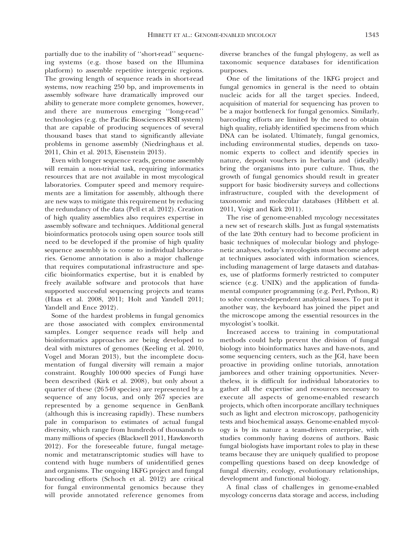partially due to the inability of ''short-read'' sequencing systems (e.g. those based on the Illumina platform) to assemble repetitive intergenic regions. The growing length of sequence reads in short-read systems, now reaching 250 bp, and improvements in assembly software have dramatically improved our ability to generate more complete genomes, however, and there are numerous emerging ''long-read'' technologies (e.g. the Pacific Biosciences RSII system) that are capable of producing sequences of several thousand bases that stand to significantly alleviate problems in genome assembly (Niedringhaus et al. 2011, Chin et al. 2013, Eisenstein 2013).

Even with longer sequence reads, genome assembly will remain a non-trivial task, requiring informatics resources that are not available in most mycological laboratories. Computer speed and memory requirements are a limitation for assembly, although there are new ways to mitigate this requirement by reducing the redundancy of the data (Pell et al. 2012). Creation of high quality assemblies also requires expertise in assembly software and techniques. Additional general bioinformatics protocols using open source tools still need to be developed if the promise of high quality sequence assembly is to come to individual laboratories. Genome annotation is also a major challenge that requires computational infrastructure and specific bioinformatics expertise, but it is enabled by freely available software and protocols that have supported successful sequencing projects and teams (Haas et al. 2008, 2011; Holt and Yandell 2011; Yandell and Ence 2012).

Some of the hardest problems in fungal genomics are those associated with complex environmental samples. Longer sequence reads will help and bioinformatics approaches are being developed to deal with mixtures of genomes (Keeling et al. 2010, Vogel and Moran 2013), but the incomplete documentation of fungal diversity will remain a major constraint. Roughly 100 000 species of Fungi have been described (Kirk et al. 2008), but only about a quarter of these (26 540 species) are represented by a sequence of any locus, and only 267 species are represented by a genome sequence in GenBank (although this is increasing rapidly). These numbers pale in comparison to estimates of actual fungal diversity, which range from hundreds of thousands to many millions of species (Blackwell 2011, Hawksworth 2012). For the foreseeable future, fungal metagenomic and metatranscriptomic studies will have to contend with huge numbers of unidentified genes and organisms. The ongoing 1KFG project and fungal barcoding efforts (Schoch et al. 2012) are critical for fungal environmental genomics because they will provide annotated reference genomes from

diverse branches of the fungal phylogeny, as well as taxonomic sequence databases for identification purposes.

One of the limitations of the 1KFG project and fungal genomics in general is the need to obtain nucleic acids for all the target species. Indeed, acquisition of material for sequencing has proven to be a major bottleneck for fungal genomics. Similarly, barcoding efforts are limited by the need to obtain high quality, reliably identified specimens from which DNA can be isolated. Ultimately, fungal genomics, including environmental studies, depends on taxonomic experts to collect and identify species in nature, deposit vouchers in herbaria and (ideally) bring the organisms into pure culture. Thus, the growth of fungal genomics should result in greater support for basic biodiversity surveys and collections infrastructure, coupled with the development of taxonomic and molecular databases (Hibbett et al. 2011, Voigt and Kirk 2011).

The rise of genome-enabled mycology necessitates a new set of research skills. Just as fungal systematists of the late 20th century had to become proficient in basic techniques of molecular biology and phylogenetic analyses, today's mycologists must become adept at techniques associated with information sciences, including management of large datasets and databases, use of platforms formerly restricted to computer science (e.g. UNIX) and the application of fundamental computer programming (e.g. Perl, Python, R) to solve context-dependent analytical issues. To put it another way, the keyboard has joined the pipet and the microscope among the essential resources in the mycologist's toolkit.

Increased access to training in computational methods could help prevent the division of fungal biology into bioinformatics haves and have-nots, and some sequencing centers, such as the JGI, have been proactive in providing online tutorials, annotation jamborees and other training opportunities. Nevertheless, it is difficult for individual laboratories to gather all the expertise and resources necessary to execute all aspects of genome-enabled research projects, which often incorporate ancillary techniques such as light and electron microscopy, pathogenicity tests and biochemical assays. Genome-enabled mycology is by its nature a team-driven enterprise, with studies commonly having dozens of authors. Basic fungal biologists have important roles to play in these teams because they are uniquely qualified to propose compelling questions based on deep knowledge of fungal diversity, ecology, evolutionary relationships, development and functional biology.

A final class of challenges in genome-enabled mycology concerns data storage and access, including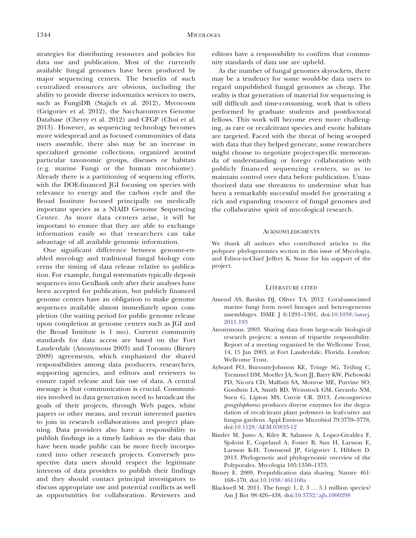strategies for distributing resources and policies for data use and publication. Most of the currently available fungal genomes have been produced by major sequencing centers. The benefits of such centralized resources are obvious, including the ability to provide diverse informatics services to users, such as FungiDB (Stajich et al. 2012), Mycocosm (Grigoriev et al. 2012), the Saccharomyces Genome Database (Cherry et al. 2012) and CFGP (Choi et al. 2013). However, as sequencing technology becomes more widespread and as focused communities of data users assemble, there also may be an increase in specialized genome collections, organized around particular taxonomic groups, diseases or habitats (e.g. marine Fungi or the human mycobiome). Already there is a partitioning of sequencing efforts, with the DOE-financed JGI focusing on species with relevance to energy and the carbon cycle and the Broad Institute focused principally on medically important species as a NIAID Genome Sequencing Center. As more data centers arise, it will be important to ensure that they are able to exchange information easily so that researchers can take advantage of all available genomic information.

One significant difference between genome-enabled mycology and traditional fungal biology concerns the timing of data release relative to publication. For example, fungal systematists typically deposit sequences into GenBank only after their analyses have been accepted for publication, but publicly financed genome centers have an obligation to make genome sequences available almost immediately upon completion (the waiting period for public genome release upon completion at genome centers such as JGI and the Broad Institute is 1 mo). Current community standards for data access are based on the Fort Lauderdale (Anonymous 2003) and Toronto (Birney 2009) agreements, which emphasized the shared responsibilities among data producers, researchers, supporting agencies, and editors and reviewers to ensure rapid release and fair use of data. A central message is that communication is crucial. Communities involved in data generation need to broadcast the goals of their projects, through Web pages, white papers or other means, and recruit interested parties to join in research collaborations and project planning. Data providers also have a responsibility to publish findings in a timely fashion so the data that have been made public can be more freely incorporated into other research projects. Conversely prospective data users should respect the legitimate interests of data providers to publish their findings and they should contact principal investigators to discuss appropriate use and potential conflicts as well as opportunities for collaboration. Reviewers and editors have a responsibility to confirm that community standards of data use are upheld.

As the number of fungal genomes skyrockets, there may be a tendency for some would-be data users to regard unpublished fungal genomes as cheap. The reality is that generation of material for sequencing is still difficult and time-consuming, work that is often performed by graduate students and postdoctoral fellows. This work will become even more challenging, as rare or recalcitrant species and exotic habitats are targeted. Faced with the threat of being scooped with data that they helped generate, some researchers might choose to negotiate project-specific memoranda of understanding or forego collaboration with publicly financed sequencing centers, so as to maintain control over data before publication. Unauthorized data use threatens to undermine what has been a remarkably successful model for generating a rich and expanding resource of fungal genomes and the collaborative spirit of mycological research.

#### ACKNOWLEDGMENTS

We thank all authors who contributed articles to the polypore phylogenomics section in this issue of Mycologia, and Editor-in-Chief Jeffrey K. Stone for his support of the project.

#### LITERATURE CITED

- Amend AS, Barshis DJ, Oliver TA. 2012. Coral-associated marine fungi form novel lineages and heterogeneous assemblages. ISME J 6:1291–1301[, doi:10.1038/ismej.](http://dx.doi.org/10.1038%2Fismej.2011.193) [2011.193](http://dx.doi.org/10.1038%2Fismej.2011.193)
- Anonymous. 2003. Sharing data from large-scale biological research projects: a system of tripartite responsibility. Report of a meeting organized by the Wellcome Trust, 14, 15 Jan 2003, at Fort Lauderdale, Florida. London: Wellcome Trust.
- Aylward FO, Burnum-Johnson KE, Tringe SG, Teiling C, Tremmel DM, Moeller JA, Scott JJ, Barry KW, Piehowski PD, Nicora CD, Malfatti SA, Monroe ME, Purvine SO, Goodwin LA, Smith RD, Weinstock GM, Gerardo NM, Suen G, Lipton MS, Currie CR. 2013. Leucoagaricus gongylophorus produces diverse enzymes for the degradation of recalcitrant plant polymers in leaf-cutter ant fungus gardens. Appl Environ Microbiol 79:3770–3778[,](http://dx.doi.org/10.1128%2FAEM.03833-12) [doi:10.1128/AEM.03833-12](http://dx.doi.org/10.1128%2FAEM.03833-12)
- Binder M, Justo A, Riley R, Salamov A, Lopez-Giraldez F, Sjokvist E, Copeland A, Foster B, Sun H, Larsson E, Larsson K-H, Townsend JP, Grigoriev I, Hibbett D. 2013. Phylogenetic and phylogenomic overview of the Polyporales. Mycologia 105:1350–1373.
- Birney E. 2009. Prepublication data sharing. Nature 461: 168–17[0, doi:10.1038/461168a](http://dx.doi.org/10.1038%2F461168a)
- Blackwell M. 2011. The fungi: 1, 2, 3 … 5.1 million species? Am J Bot 98:426–43[8, doi:10.3732/ajb.1000298](http://dx.doi.org/10.3732%2Fajb.1000298)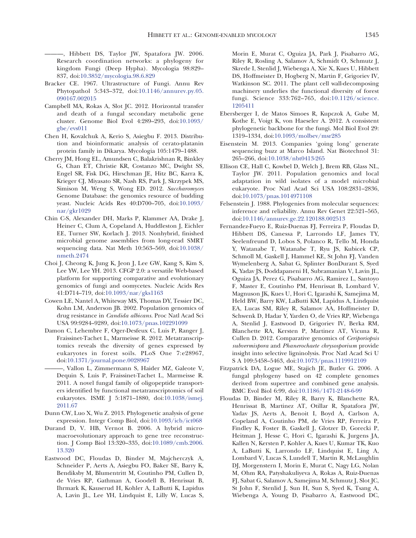———, Hibbett DS, Taylor JW, Spatafora JW. 2006. Research coordination networks: a phylogeny for kingdom Fungi (Deep Hypha). Mycologia 98:829– 837[, doi:10.3852/mycologia.98.6.829](http://dx.doi.org/10.3852%2Fmycologia.98.6.829)

- Bracker CE. 1967. Ultrastructure of Fungi. Annu Rev Phytopathol 5:343–372[, doi:10.1146/annurev.py.05.](http://dx.doi.org/10.1146%2Fannurev.py.05.090167.002015) [090167.002015](http://dx.doi.org/10.1146%2Fannurev.py.05.090167.002015)
- Campbell MA, Rokas A, Slot JC. 2012. Horizontal transfer and death of a fungal secondary metabolic gene cluster. Genome Biol Evol 4:289–29[3, doi:10.1093/](http://dx.doi.org/10.1093%2Fgbe%2Fevs011) [gbe/evs011](http://dx.doi.org/10.1093%2Fgbe%2Fevs011)
- Chen H, Kovalchuk A, Kerio S, Asiegbu F. 2013. Distribution and bioinformatic analysis of cerato-platanin protein family in Dikarya. Mycologia 105:1479–1488.
- Cherry JM, Hong EL, Amundsen C, Balakrishnan R, Binkley G, Chan ET, Christie KR, Costanzo MC, Dwight SS, Engel SR, Fisk DG, Hirschman JE, Hitz BC, Karra K, Krieger CJ, Miyasato SR, Nash RS, Park J, Skrzypek MS, Simison M, Weng S, Wong ED. 2012. Saccharomyces Genome Database: the genomics resource of budding yeast. Nucleic Acids Res 40:D700–70[5, doi:10.1093/](http://dx.doi.org/10.1093%2Fnar%2Fgkr1029) [nar/gkr1029](http://dx.doi.org/10.1093%2Fnar%2Fgkr1029)
- Chin C-S, Alexander DH, Marks P, Klammer AA, Drake J, Heiner C, Clum A, Copeland A, Huddleston J, Eichler EE, Turner SW, Korlach J. 2013. Nonhybrid, finished microbial genome assemblies from long-read SMRT sequencing data. Nat Meth 10:563–569[, doi:10.1038/](http://dx.doi.org/10.1038%2Fnmeth.2474) [nmeth.2474](http://dx.doi.org/10.1038%2Fnmeth.2474)
- Choi J, Cheong K, Jung K, Jeon J, Lee GW, Kang S, Kim S, Lee YW, Lee YH. 2013. CFGP 2.0: a versatile Web-based platform for supporting comparative and evolutionary genomics of fungi and oomycetes. Nucleic Acids Res 41:D714–71[9, doi:10.1093/nar/gks1163](http://dx.doi.org/10.1093%2Fnar%2Fgks1163)
- Cowen LE, Nantel A, Whiteway MS, Thomas DY, Tessier DC, Kohn LM, Anderson JB. 2002. Population genomics of drug resistance in Candida albicans. Proc Natl Acad Sci USA 99:9284–9289[, doi:10.1073/pnas.102291099](http://dx.doi.org/10.1073%2Fpnas.102291099)
- Damon C, Lehembre F, Oger-Desfeux C, Luis P, Ranger J, Fraissinet-Tachet L, Marmeisse R. 2012. Metatranscriptomics reveals the diversity of genes expressed by eukaryotes in forest soils. PLoS One 7:e28967[,](http://dx.doi.org/10.1371%2Fjournal.pone.0028967) [doi:10.1371/journal.pone.0028967](http://dx.doi.org/10.1371%2Fjournal.pone.0028967)
- ———, Vallon L, Zimmermann S, Haider MZ, Galeote V, Dequin S, Luis P, Fraissinet-Tachet L, Marmeisse R. 2011. A novel fungal family of oligopeptide transporters identified by functional metatranscriptomics of soil eukaryotes. ISME J 5:1871–188[0, doi:10.1038/ismej.](http://dx.doi.org/10.1038%2Fismej.2011.67) [2011.67](http://dx.doi.org/10.1038%2Fismej.2011.67)
- Dunn CW, Luo X, Wu Z. 2013. Phylogenetic analysis of gene expression. Integr Comp Bio[l, doi:10.1093/icb/ict068](http://dx.doi.org/10.1093%2Ficb/ict068)
- Durand D, V. HB, Vernot B. 2006. A hybrid micromacroevolutionary approach to gene tree reconstruction. J Comp Biol 13:320–33[5, doi:10.1089/cmb.2006.](http://dx.doi.org/10.1089%2Fcmb.2006.13.320) [13.320](http://dx.doi.org/10.1089%2Fcmb.2006.13.320)
- Eastwood DC, Floudas D, Binder M, Majcherczyk A, Schneider P, Aerts A, Asiegbu FO, Baker SE, Barry K, Bendiksby M, Blumentritt M, Coutinho PM, Cullen D, de Vries RP, Gathman A, Goodell B, Henrissat B, Ihrmark K, Kauserud H, Kohler A, LaButti K, Lapidus A, Lavin JL, Lee YH, Lindquist E, Lilly W, Lucas S,

Morin E, Murat C, Oguiza JA, Park J, Pisabarro AG, Riley R, Rosling A, Salamov A, Schmidt O, Schmutz J, Skrede I, Stenlid J, Wiebenga A, Xie X, Kues U, Hibbett DS, Hoffmeister D, Hogberg N, Martin F, Grigoriev IV, Watkinson SC. 2011. The plant cell wall-decomposing machinery underlies the functional diversity of forest fungi. Science 333:762–765[, doi:10.1126/science.](http://dx.doi.org/10.1126%2Fscience.1205411) [1205411](http://dx.doi.org/10.1126%2Fscience.1205411)

- Ebersberger I, de Matos Simoes R, Kupczok A, Gube M, Kothe E, Voigt K, von Haeseler A. 2012. A consistent phylogenetic backbone for the fungi. Mol Biol Evol 29: 1319–1334[, doi:10.1093/molbev/msr285](http://dx.doi.org/10.1093%2Fmolbev%2Fmsr285)
- Eisenstein M. 2013. Companies 'going long' generate sequencing buzz at Marco Island. Nat Biotechnol 31: 265–26[6, doi:10.1038/nbt0413-265](http://dx.doi.org/10.1038%2Fnbt0413-265)
- Ellison CE, Hall C, Kowbel D, Welch J, Brem RB, Glass NL, Taylor JW. 2011. Population genomics and local adaptation in wild isolates of a model microbial eukaryote. Proc Natl Acad Sci USA 108:2831–2836[,](http://dx.doi.org/10.1073%2Fpnas.1014971108) [doi:10.1073/pnas.1014971108](http://dx.doi.org/10.1073%2Fpnas.1014971108)
- Felsenstein J. 1988. Phylogenies from molecular sequences: inference and reliability. Annu Rev Genet 22:521–565[,](http://dx.doi.org/10.1146%2Fannurev.ge.22.120188.002513) [doi:10.1146/annurev.ge.22.120188.002513](http://dx.doi.org/10.1146%2Fannurev.ge.22.120188.002513)
- Fernandez-Fueyo E, Ruiz-Duenas FJ, Ferreira P, Floudas D, Hibbett DS, Canessa P, Larrondo LF, James TY, Seelenfreund D, Lobos S, Polanco R, Tello M, Honda Y, Watanabe T, Watanabe T, Ryu JS, Kubicek CP, Schmoll M, Gaskell J, Hammel KE, St John FJ, Vanden Wymelenberg A, Sabat G, Splinter BonDurant S, Syed K, Yadav JS, Doddapaneni H, Subramanian V, Lavin JL, Oguiza JA, Perez G, Pisabarro AG, Ramirez L, Santoyo F, Master E, Coutinho PM, Henrissat B, Lombard V, Magnuson JK, Kues U, Hori C, Igarashi K, Samejima M, Held BW, Barry KW, LaButti KM, Lapidus A, Lindquist EA, Lucas SM, Riley R, Salamov AA, Hoffmeister D, Schwenk D, Hadar Y, Yarden O, de Vries RP, Wiebenga A, Stenlid J, Eastwood D, Grigoriev IV, Berka RM, Blanchette RA, Kersten P, Martinez AT, Vicuna R, Cullen D. 2012. Comparative genomics of Ceriporiopsis subvermispora and Phanerochaete chrysosporium provide insight into selective ligninolysis. Proc Natl Acad Sci U S A 109:5458–546[3, doi:10.1073/pnas.1119912109](http://dx.doi.org/10.1073%2Fpnas.1119912109)
- Fitzpatrick DA, Logue ME, Stajich JE, Butler G. 2006. A fungal phylogeny based on 42 complete genomes derived from supertree and combined gene analysis. BMC Evol Biol 6:9[9, doi:10.1186/1471-2148-6-99](http://dx.doi.org/10.1186%2F1471-2148-6-99)
- Floudas D, Binder M, Riley R, Barry K, Blanchette RA, Henrissat B, Martinez AT, Otillar R, Spatafora JW, Yadav JS, Aerts A, Benoit I, Boyd A, Carlson A, Copeland A, Coutinho PM, de Vries RP, Ferreira P, Findley K, Foster B, Gaskell J, Glotzer D, Gorecki P, Heitman J, Hesse C, Hori C, Igarashi K, Jurgens JA, Kallen N, Kersten P, Kohler A, Kues U, Kumar TK, Kuo A, LaButti K, Larrondo LF, Lindquist E, Ling A, Lombard V, Lucas S, Lundell T, Martin R, McLaughlin DJ, Morgenstern I, Morin E, Murat C, Nagy LG, Nolan M, Ohm RA, Patyshakuliyeva A, Rokas A, Ruiz-Duenas FJ, Sabat G, Salamov A, Samejima M, Schmutz J, Slot JC, St John F, Stenlid J, Sun H, Sun S, Syed K, Tsang A, Wiebenga A, Young D, Pisabarro A, Eastwood DC,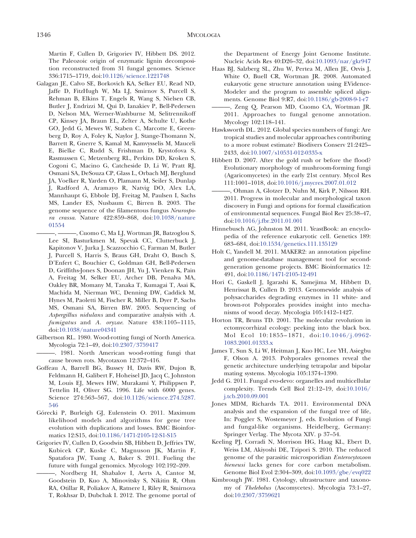Martin F, Cullen D, Grigoriev IV, Hibbett DS. 2012. The Paleozoic origin of enzymatic lignin decomposition reconstructed from 31 fungal genomes. Science 336:1715–1719[, doi:10.1126/science.1221748](http://dx.doi.org/10.1126%2Fscience.1221748)

Galagan JE, Calvo SE, Borkovich KA, Selker EU, Read ND, Jaffe D, FitzHugh W, Ma LJ, Smirnov S, Purcell S, Rehman B, Elkins T, Engels R, Wang S, Nielsen CB, Butler J, Endrizzi M, Qui D, Ianakiev P, Bell-Pedersen D, Nelson MA, Werner-Washburne M, Selitrennikoff CP, Kinsey JA, Braun EL, Zelter A, Schulte U, Kothe GO, Jedd G, Mewes W, Staben C, Marcotte E, Greenberg D, Roy A, Foley K, Naylor J, Stange-Thomann N, Barrett R, Gnerre S, Kamal M, Kamvysselis M, Mauceli E, Bielke C, Rudd S, Frishman D, Krystofova S, Rasmussen C, Metzenberg RL, Perkins DD, Kroken S, Cogoni C, Macino G, Catcheside D, Li W, Pratt RJ, Osmani SA, DeSouza CP, Glass L, Orbach MJ, Berglund JA, Voelker R, Yarden O, Plamann M, Seiler S, Dunlap J, Radford A, Aramayo R, Natvig DO, Alex LA, Mannhaupt G, Ebbole DJ, Freitag M, Paulsen I, Sachs MS, Lander ES, Nusbaum C, Birren B. 2003. The genome sequence of the filamentous fungus Neurospora crassa. Nature 422:859–868[, doi:10.1038/nature](http://dx.doi.org/10.1038%2Fnature01554) [01554](http://dx.doi.org/10.1038%2Fnature01554)

———, ———, Cuomo C, Ma LJ, Wortman JR, Batzoglou S, Lee SI, Basturkmen M, Spevak CC, Clutterbuck J, Kapitonov V, Jurka J, Scazzocchio C, Farman M, Butler J, Purcell S, Harris S, Braus GH, Draht O, Busch S, D'Enfert C, Bouchier C, Goldman GH, Bell-Pedersen D, Griffiths-Jones S, Doonan JH, Yu J, Vienken K, Pain A, Freitag M, Selker EU, Archer DB, Penalva MA, Oakley BR, Momany M, Tanaka T, Kumagai T, Asai K, Machida M, Nierman WC, Denning DW, Caddick M, Hynes M, Paoletti M, Fischer R, Miller B, Dyer P, Sachs MS, Osmani SA, Birren BW. 2005. Sequencing of Aspergillus nidulans and comparative analysis with A. fumigatus and A. oryzae. Nature 438:1105–1115[,](http://dx.doi.org/10.1038%2Fnature04341) [doi:10.1038/nature04341](http://dx.doi.org/10.1038%2Fnature04341)

- Gilbertson RL. 1980. Wood-rotting fungi of North America. Mycologia 72:1–49[, doi:10.2307/3759417](http://dx.doi.org/10.2307%2F3759417)
- ———. 1981. North American wood-rotting fungi that cause brown rots. Mycotaxon 12:372–416.
- Goffeau A, Barrell BG, Bussey H, Davis RW, Dujon B, Feldmann H, Galibert F, Hoheisel JD, Jacq C, Johnston M, Louis EJ, Mewes HW, Murakami Y, Philippsen P, Tettelin H, Oliver SG. 1996. Life with 6000 genes. Science 274:563–56[7, doi:10.1126/science.274.5287.](http://dx.doi.org/10.1126%2Fscience.274.5287.546) [546](http://dx.doi.org/10.1126%2Fscience.274.5287.546)
- Górecki P, Burleigh GJ, Eulenstein O. 2011. Maximum likelihood models and algorithms for gene tree evolution with duplications and losses. BMC Bioinformatics 12:S1[5, doi:10.1186/1471-2105-12-S1-S15](http://dx.doi.org/10.1186%2F1471-2105-12-S1-S15)
- Grigoriev IV, Cullen D, Goodwin SB, Hibbett D, Jeffries TW, Kubicek CP, Kuske C, Magnuson JK, Martin F, Spatafora JW, Tsang A, Baker S. 2011. Fueling the future with fungal genomics. Mycology 102:192–209.
	- ———, Nordberg H, Shabalov I, Aerts A, Cantor M, Goodstein D, Kuo A, Minovitsky S, Nikitin R, Ohm RA, Otillar R, Poliakov A, Ratnere I, Riley R, Smirnova T, Rokhsar D, Dubchak I. 2012. The genome portal of

the Department of Energy Joint Genome Institute. Nucleic Acids Res 40:D26–32[, doi:10.1093/nar/gkr947](http://dx.doi.org/10.1093%2Fnar%2Fgkr947)

- Haas BJ, Salzberg SL, Zhu W, Pertea M, Allen JE, Orvis J, White O, Buell CR, Wortman JR. 2008. Automated eukaryotic gene structure annotation using EVidence-Modeler and the program to assemble spliced alignments. Genome Biol 9:R[7, doi:10.1186/gb-2008-9-1-r7](http://dx.doi.org/10.1186%2Fgb-2008-9-1-r7)
- ———, Zeng Q, Pearson MD, Cuomo CA, Wortman JR. 2011. Approaches to fungal genome annotation. Mycology 102:118–141.
- Hawksworth DL. 2012. Global species numbers of fungi: Are tropical studies and molecular approaches contributing to a more robust estimate? Biodivers Conserv 21:2425– 243[3, doi:10.1007/s10531-012-0335-x](http://dx.doi.org/10.1007%2Fs10531-012-0335-x)
- Hibbett D. 2007. After the gold rush or before the flood? Evolutionary morphology of mushroom-forming fungi (Agaricomycetes) in the early 21st century. Mycol Res 111:1001–1018[, doi:10.1016/j.mycres.2007.01.012](http://dx.doi.org/10.1016%2Fj.mycres.2007.01.012)
- ———, Ohman A, Glotzer D, Nuhn M, Kirk P, Nilsson RH. 2011. Progress in molecular and morphological taxon discovery in Fungi and options for formal classification of environmental sequences. Fungal Biol Rev 25:38–47[,](http://dx.doi.org/10.1016%2Fj.fbr.2011.01.001) [doi:10.1016/j.fbr.2011.01.001](http://dx.doi.org/10.1016%2Fj.fbr.2011.01.001)
- Hinnebusch AG, Johnston M. 2011. YeastBook: an encyclopedia of the reference eukaryotic cell. Genetics 189: 683–68[4, doi:10.1534/genetics.111.135129](http://dx.doi.org/10.1534%2Fgenetics.111.135129)
- Holt C, Yandell M. 2011. MAKER2: an annotation pipeline and genome-database management tool for secondgeneration genome projects. BMC Bioinformatics 12: 491[, doi:10.1186/1471-2105-12-491](http://dx.doi.org/10.1186%2F1471-2105-12-491)
- Hori C, Gaskell J, Igarashi K, Samejima M, Hibbett D, Henrissat B, Cullen D. 2013. Genomewide analysis of polysaccharides degrading enzymes in 11 white- and brown-rot Polyporales provides insight into mechanisms of wood decay. Mycologia 105:1412–1427.
- Horton TR, Bruns TD. 2001. The molecular revolution in ectomycorrhizal ecology: peeking into the black box. Mol Ecol 10:1855–1871[, doi:10.1046/j.0962-](http://dx.doi.org/10.1046%2Fj.0962-1083.2001.01333.x) [1083.2001.01333.x](http://dx.doi.org/10.1046%2Fj.0962-1083.2001.01333.x)
- James T, Sun S, Li W, Heitman J, Kuo HC, Lee YH, Asiegbu F, Olson A. 2013. Polyporales genomes reveal the genetic architecture underlying tetrapolar and bipolar mating systems. Mycologia 105:1374–1390.
- Jedd G. 2011. Fungal evo-devo: organelles and multicellular complexity. Trends Cell Biol 21:12–1[9, doi:10.1016/](http://dx.doi.org/10.1016%2Fj.tcb.2010.09.001) [j.tcb.2010.09.001](http://dx.doi.org/10.1016%2Fj.tcb.2010.09.001)
- Jones MDM, Richards TA. 2011. Environmental DNA analysis and the expansion of the fungal tree of life, In: Poggler S, Wostemeyer J, eds. Evolution of Fungi and fungal-like organisms. Heidelberg, Germany: Springer Verlag. The Mycota XIV. p 37–54.
- Keeling PJ, Corradi N, Morrison HG, Haag KL, Ebert D, Weiss LM, Akiyoshi DE, Tzipori S. 2010. The reduced genome of the parasitic microsporidian Enterocytozoon bieneusi lacks genes for core carbon metabolism. Genome Biol Evol 2:304–309[, doi:10.1093/gbe/evq022](http://dx.doi.org/10.1093%2Fgbe%2Fevq022)
- Kimbrough JW. 1981. Cytology, ultrastructure and taxonomy of Thelebolus (Ascomycetes). Mycologia 73:1–27[,](http://dx.doi.org/10.2307%2F3759621) [doi:10.2307/3759621](http://dx.doi.org/10.2307%2F3759621)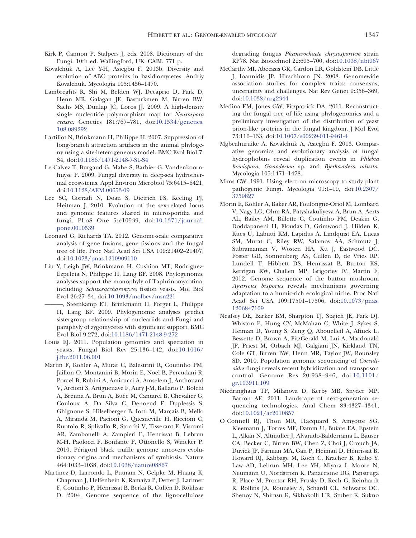- Kirk P, Cannon P, Stalpers J, eds. 2008. Dictionary of the Fungi. 10th ed. Wallingford, UK: CABI. 771 p.
- Kovalchuk A, Lee Y-H, Asiegbu F. 2013b. Diversity and evolution of ABC proteins in basidiomycetes. Andriy Kovalchuk. Mycologia 105:1456–1470.
- Lambreghts R, Shi M, Belden WJ, Decaprio D, Park D, Henn MR, Galagan JE, Basturkmen M, Birren BW, Sachs MS, Dunlap JC, Loros JJ. 2009. A high-density single nucleotide polymorphism map for Neurospora crassa. Genetics 181:767–78[1, doi:10.1534/genetics.](http://dx.doi.org/10.1534%2Fgenetics.108.089292) [108.089292](http://dx.doi.org/10.1534%2Fgenetics.108.089292)
- Lartillot N, Brinkmann H, Philippe H. 2007. Suppression of long-branch attraction artifacts in the animal phylogeny using a site-heterogeneous model. BMC Evol Biol 7: S[4, doi:10.1186/1471-2148-7-S1-S4](http://dx.doi.org/10.1186%2F1471-2148-7-S1-S4)
- Le Calvez T, Burgaud G, Mahe S, Barbier G, Vandenkoornhuyse P. 2009. Fungal diversity in deep-sea hydrothermal ecosystems. Appl Environ Microbiol 75:6415–6421[,](http://dx.doi.org/10.1128%2FAEM.00653-09) [doi:10.1128/AEM.00653-09](http://dx.doi.org/10.1128%2FAEM.00653-09)
- Lee SC, Corradi N, Doan S, Dietrich FS, Keeling PJ, Heitman J. 2010. Evolution of the sex-related locus and genomic features shared in microsporidia and fungi. PLoS One 5:e10539[, doi:10.1371/journal.](http://dx.doi.org/10.1371%2Fjournal.pone.0010539) [pone.0010539](http://dx.doi.org/10.1371%2Fjournal.pone.0010539)
- Leonard G, Richards TA. 2012. Genome-scale comparative analysis of gene fusions, gene fissions and the fungal tree of life. Proc Natl Acad Sci USA 109:21402–21407[,](http://dx.doi.org/10.1073%2Fpnas.1210909110) [doi:10.1073/pnas.1210909110](http://dx.doi.org/10.1073%2Fpnas.1210909110)
- Liu Y, Leigh JW, Brinkmann H, Cushion MT, Rodriguez-Ezpeleta N, Philippe H, Lang BF. 2008. Phylogenomic analyses support the monophyly of Taphrinomycotina, including Schizosaccharomyces fission yeasts. Mol Biol Evol 26:27–3[4, doi:10.1093/molbev/msn221](http://dx.doi.org/10.1093%2Fmolbev%2Fmsn221)
- ———, Steenkamp ET, Brinkmann H, Forget L, Philippe H, Lang BF. 2009. Phylogenomic analyses predict sistergroup relationship of nucleariids and Fungi and paraphyly of zygomycetes with significant support. BMC Evol Biol 9:27[2, doi:10.1186/1471-2148-9-272](http://dx.doi.org/10.1186%2F1471-2148-9-272)
- Louis EJ. 2011. Population genomics and speciation in yeasts. Fungal Biol Rev 25:136–142[, doi:10.1016/](http://dx.doi.org/10.1016%2Fj.fbr.2011.06.001) [j.fbr.2011.06.001](http://dx.doi.org/10.1016%2Fj.fbr.2011.06.001)
- Martin F, Kohler A, Murat C, Balestrini R, Coutinho PM, Jaillon O, Montanini B, Morin E, Noel B, Percudani R, Porcel B, Rubini A, Amicucci A, Amselem J, Anthouard V, Arcioni S, Artiguenave F, Aury J-M, Ballario P, Bolchi A, Brenna A, Brun A, Buée M, Cantarel B, Chevalier G, Couloux A, Da Silva C, Denoeud F, Duplessis S, Ghignone S, Hilselberger B, Iotti M, Marçais B, Mello A, Miranda M, Pacioni G, Quesneville H, Riccioni C, Ruotolo R, Splivallo R, Stocchi V, Tisserant E, Viscomi AR, Zambonelli A, Zampieri E, Henrissat B, Lebrun M-H, Paolocci F, Bonfante P, Ottonello S, Wincker P. 2010. Périgord black truffle genome uncovers evolutionary origins and mechanisms of symbiosis. Nature 464:1033–1038[, doi:10.1038/nature08867](http://dx.doi.org/10.1038%2Fnature08867)
- Martinez D, Larrondo L, Putnam N, Gelpke M, Huang K, Chapman J, Helfenbein K, Ramaiya P, Detter J, Larimer F, Coutinho P, Henrissat B, Berka R, Cullen D, Rokhsar D. 2004. Genome sequence of the lignocellulose

degrading fungus Phanerochaete chrysosporium strain RP78. Nat Biotechnol 22:695–700[, doi:10.1038/nbt967](http://dx.doi.org/10.1038%2Fnbt967)

- McCarthy MI, Abecasis GR, Cardon LR, Goldstein DB, Little J, Ioannidis JP, Hirschhorn JN. 2008. Genomewide association studies for complex traits: consensus, uncertainty and challenges. Nat Rev Genet 9:356–369[,](http://dx.doi.org/10.1038%2Fnrg2344) [doi:10.1038/nrg2344](http://dx.doi.org/10.1038%2Fnrg2344)
- Medina EM, Jones GW, Fitzpatrick DA. 2011. Reconstructing the fungal tree of life using phylogenomics and a preliminary investigation of the distribution of yeast prion-like proteins in the fungal kingdom. J Mol Evol 73:116–133[, doi:10.1007/s00239-011-9461-4](http://dx.doi.org/10.1007%2Fs00239-011-9461-4)
- Mgbeahuruike A, Kovalchuk A, Asiegbu F. 2013. Comparative genomics and evolutionary analysis of fungal hydrophobins reveal duplication events in *Phlebia* brevispora, Ganoderma sp. and Bjerkandera adusta. Mycologia 105:1471–1478.
- Mims CW. 1991. Using electron microscopy to study plant pathogenic Fungi. Mycologia 91:1–19[, doi:10.2307/](http://dx.doi.org/10.2307%2F3759827) [3759827](http://dx.doi.org/10.2307%2F3759827)
- Morin E, Kohler A, Baker AR, Foulongne-Oriol M, Lombard V, Nagy LG, Ohm RA, Patyshakuliyeva A, Brun A, Aerts AL, Bailey AM, Billette C, Coutinho PM, Deakin G, Doddapaneni H, Floudas D, Grimwood J, Hilden K, Kues U, Labutti KM, Lapidus A, Lindquist EA, Lucas SM, Murat C, Riley RW, Salamov AA, Schmutz J, Subramanian V, Wosten HA, Xu J, Eastwood DC, Foster GD, Sonnenberg AS, Cullen D, de Vries RP, Lundell T, Hibbett DS, Henrissat B, Burton KS, Kerrigan RW, Challen MP, Grigoriev IV, Martin F. 2012. Genome sequence of the button mushroom Agaricus bisporus reveals mechanisms governing adaptation to a humic-rich ecological niche. Proc Natl Acad Sci USA 109:17501–1750[6, doi:10.1073/pnas.](http://dx.doi.org/10.1073%2Fpnas.1206847109) [1206847109](http://dx.doi.org/10.1073%2Fpnas.1206847109)
- Neafsey DE, Barker BM, Sharpton TJ, Stajich JE, Park DJ, Whiston E, Hung CY, McMahan C, White J, Sykes S, Heiman D, Young S, Zeng Q, Abouelleil A, Aftuck L, Bessette D, Brown A, FitzGerald M, Lui A, Macdonald JP, Priest M, Orbach MJ, Galgiani JN, Kirkland TN, Cole GT, Birren BW, Henn MR, Taylor JW, Rounsley SD. 2010. Population genomic sequencing of Coccidioides fungi reveals recent hybridization and transposon control. Genome Res 20:938–946[, doi:10.1101/](http://dx.doi.org/10.1101%2Fgr.103911.109) [gr.103911.109](http://dx.doi.org/10.1101%2Fgr.103911.109)
- Niedringhaus TP, Milanova D, Kerby MB, Snyder MP, Barron AE. 2011. Landscape of next-generation sequencing technologies. Anal Chem 83:4327–4341[,](http://dx.doi.org/10.1021%2Fac2010857) [doi:10.1021/ac2010857](http://dx.doi.org/10.1021%2Fac2010857)
- O'Connell RJ, Thon MR, Hacquard S, Amyotte SG, Kleemann J, Torres MF, Damm U, Buiate EA, Epstein L, Alkan N, Altmuller J, Alvarado-Balderrama L, Bauser CA, Becker C, Birren BW, Chen Z, Choi J, Crouch JA, Duvick JP, Farman MA, Gan P, Heiman D, Henrissat B, Howard RJ, Kabbage M, Koch C, Kracher B, Kubo Y, Law AD, Lebrun MH, Lee YH, Miyara I, Moore N, Neumann U, Nordstrom K, Panaccione DG, Panstruga R, Place M, Proctor RH, Prusky D, Rech G, Reinhardt R, Rollins JA, Rounsley S, Schardl CL, Schwartz DC, Shenoy N, Shirasu K, Sikhakolli UR, Stuber K, Sukno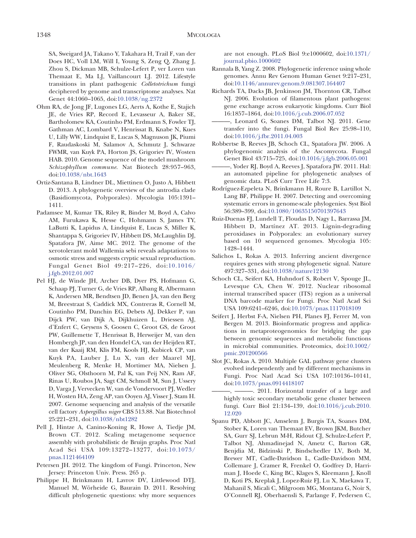SA, Sweigard JA, Takano Y, Takahara H, Trail F, van der Does HC, Voll LM, Will I, Young S, Zeng Q, Zhang J, Zhou S, Dickman MB, Schulze-Lefert P, ver Loren van Themaat E, Ma LJ, Vaillancourt LJ. 2012. Lifestyle transitions in plant pathogenic Colletotrichum fungi deciphered by genome and transcriptome analyses. Nat Genet 44:1060–106[5, doi:10.1038/ng.2372](http://dx.doi.org/10.1038%2Fng.2372)

- Ohm RA, de Jong JF, Lugones LG, Aerts A, Kothe E, Stajich JE, de Vries RP, Record E, Levasseur A, Baker SE, Bartholomew KA, Coutinho PM, Erdmann S, Fowler TJ, Gathman AC, Lombard V, Henrissat B, Knabe N, Kues U, Lilly WW, Lindquist E, Lucas S, Magnuson JK, Piumi F, Raudaskoski M, Salamov A, Schmutz J, Schwarze FWMR, van Kuyk PA, Horton JS, Grigoriev IV, Wosten HAB. 2010. Genome sequence of the model mushroom Schizophyllum commune. Nat Biotech 28:957–963[,](http://dx.doi.org/10.1038%2Fnbt.1643) [doi:10.1038/nbt.1643](http://dx.doi.org/10.1038%2Fnbt.1643)
- Ortiz-Santana B, Lindner DL, Miettinen O, Justo A, Hibbett D. 2013. A phylogenetic overview of the antrodia clade (Basidiomycota, Polyporales). Mycologia 105:1391– 1411.
- Padamsee M, Kumar TK, Riley R, Binder M, Boyd A, Calvo AM, Furukawa K, Hesse C, Hohmann S, James TY, LaButti K, Lapidus A, Lindquist E, Lucas S, Miller K, Shantappa S, Grigoriev IV, Hibbett DS, McLaughlin DJ, Spatafora JW, Aime MC. 2012. The genome of the xerotolerant mold Wallemia sebi reveals adaptations to osmotic stress and suggests cryptic sexual reproduction. Fungal Genet Biol 49:217–226[, doi:10.1016/](http://dx.doi.org/10.1016%2Fj.fgb.2012.01.007) [j.fgb.2012.01.007](http://dx.doi.org/10.1016%2Fj.fgb.2012.01.007)
- Pel HJ, de Winde JH, Archer DB, Dyer PS, Hofmann G, Schaap PJ, Turner G, de Vries RP, Albang R, Albermann K, Andersen MR, Bendtsen JD, Benen JA, van den Berg M, Breestraat S, Caddick MX, Contreras R, Cornell M, Coutinho PM, Danchin EG, Debets AJ, Dekker P, van Dijck PW, van Dijk A, Dijkhuizen L, Driessen AJ, d'Enfert C, Geysens S, Goosen C, Groot GS, de Groot PW, Guillemette T, Henrissat B, Herweijer M, van den Hombergh JP, van den Hondel CA, van der Heijden RT, van der Kaaij RM, Klis FM, Kools HJ, Kubicek CP, van Kuyk PA, Lauber J, Lu X, van der Maarel MJ, Meulenberg R, Menke H, Mortimer MA, Nielsen J, Oliver SG, Olsthoorn M, Pal K, van Peij NN, Ram AF, Rinas U, Roubos JA, Sagt CM, Schmoll M, Sun J, Ussery D, Varga J, Vervecken W, van de Vondervoort PJ, Wedler H, Wosten HA, Zeng AP, van Ooyen AJ, Visser J, Stam H. 2007. Genome sequencing and analysis of the versatile cell factory Aspergillus niger CBS 513.88. Nat Biotechnol 25:221–23[1, doi:10.1038/nbt1282](http://dx.doi.org/10.1038%2Fnbt1282)
- Pell J, Hintze A, Canino-Koning R, Howe A, Tiedje JM, Brown CT. 2012. Scaling metagenome sequence assembly with probabilistic de Bruijn graphs. Proc Natl Acad Sci USA 109:13272–13277[, doi:10.1073/](http://dx.doi.org/10.1073%2Fpnas.1121464109) [pnas.1121464109](http://dx.doi.org/10.1073%2Fpnas.1121464109)
- Petersen JH. 2012. The kingdom of Fungi. Princeton, New Jersey: Princeton Univ. Press. 265 p.
- Philippe H, Brinkmann H, Lavrov DV, Littlewood DTJ, Manuel M, Wörheide G, Baurain D. 2011. Resolving difficult phylogenetic questions: why more sequences

are not enough. PLoS Biol 9:e1000602[, doi:10.1371/](http://dx.doi.org/10.1371%2Fjournal.pbio.1000602) [journal.pbio.1000602](http://dx.doi.org/10.1371%2Fjournal.pbio.1000602)

- Rannala B, Yang Z. 2008. Phylogenetic inference using whole genomes. Annu Rev Genom Human Genet 9:217–231[,](http://dx.doi.org/10.1146%2Fannurev.genom.9.081307.164407) [doi:10.1146/annurev.genom.9.081307.164407](http://dx.doi.org/10.1146%2Fannurev.genom.9.081307.164407)
- Richards TA, Dacks JB, Jenkinson JM, Thornton CR, Talbot NJ. 2006. Evolution of filamentous plant pathogens: gene exchange across eukaryotic kingdoms. Curr Biol 16:1857–186[4, doi:10.1016/j.cub.2006.07.052](http://dx.doi.org/10.1016%2Fj.cub.2006.07.052)
- ———, Leonard G, Soanes DM, Talbot NJ. 2011. Gene transfer into the fungi. Fungal Biol Rev 25:98–110[,](http://dx.doi.org/10.1016%2Fj.fbr.2011.04.003) [doi:10.1016/j.fbr.2011.04.003](http://dx.doi.org/10.1016%2Fj.fbr.2011.04.003)
- Robbertse B, Reeves JB, Schoch CL, Spatafora JW. 2006. A phylogenomic analysis of the Ascomycota. Fungal Genet Biol 43:715–725[, doi:10.1016/j.fgb.2006.05.001](http://dx.doi.org/10.1016%2Fj.fgb.2006.05.001)
- ———, Yoder RJ, Boyd A, Reeves J, Spatafora JW. 2011. Hal: an automated pipeline for phylogenetic analyses of genomic data. PLoS Curr Tree Life 7:3.
- Rodríguez-Ezpeleta N, Brinkmann H, Roure B, Lartillot N, Lang BF, Philippe H. 2007. Detecting and overcoming systematic errors in genome-scale phylogenies. Syst Biol 56:389–399[, doi:10.1080/10635150701397643](http://dx.doi.org/10.1080%2F10635150701397643)
- Ruiz-Duenas FJ, Lundell T, Floudas D, Nagy L, Barrassa JM, Hibbett D, Martínez AT. 2013. Lignin-degrading peroxidases in Polyporales: an evolutionary survey based on 10 sequenced genomes. Mycologia 105: 1428–1444.
- Salichos L, Rokas A. 2013. Inferring ancient divergence requires genes with strong phylogenetic signal. Nature 497:327–331[, doi:10.1038/nature12130](http://dx.doi.org/10.1038%2Fnature12130)
- Schoch CL, Seifert KA, Huhndorf S, Robert V, Spouge JL, Levesque CA, Chen W. 2012. Nuclear ribosomal internal transcribed spacer (ITS) region as a universal DNA barcode marker for Fungi. Proc Natl Acad Sci USA 109:6241–624[6, doi:10.1073/pnas.1117018109](http://dx.doi.org/10.1073%2Fpnas.1117018109)
- Seifert J, Herbst F-A, Nielsen PH, Planes FJ, Ferrer M, von Bergen M. 2013. Bioinformatic progress and applications in metaproteogenomics for bridging the gap between genomic sequences and metabolic functions in microbial communities. Proteomics[, doi:10.1002/](http://dx.doi.org/10.1002%2Fpmic.201200566) [pmic.201200566](http://dx.doi.org/10.1002%2Fpmic.201200566)
- Slot JC, Rokas A. 2010. Multiple GAL pathway gene clusters evolved independently and by different mechanisms in Fungi. Proc Natl Acad Sci USA 107:10136–10141[,](http://dx.doi.org/10.1073%2Fpnas.0914418107) [doi:10.1073/pnas.0914418107](http://dx.doi.org/10.1073%2Fpnas.0914418107)

-, - 2011. Horizontal transfer of a large and highly toxic secondary metabolic gene cluster between fungi. Curr Biol 21:134–139[, doi:10.1016/j.cub.2010.](http://dx.doi.org/10.1016%2Fj.cub.2010.12.020) [12.020](http://dx.doi.org/10.1016%2Fj.cub.2010.12.020)

Spanu PD, Abbott JC, Amselem J, Burgis TA, Soanes DM, Stober K, Loren van Themaat EV, Brown JKM, Butcher SA, Gurr SJ, Lebrun M-H, Ridout CJ, Schulze-Lefert P, Talbot NJ, Ahmadinejad N, Ametz C, Barton GR, Benjdia M, Bidzinski P, Bindschedler LV, Both M, Brewer MT, Cadle-Davidson L, Cadle-Davidson MM, Collemare J, Cramer R, Frenkel O, Godfrey D, Harriman J, Hoede C, King BC, Klages S, Kleemann J, Knoll D, Koti PS, Kreplak J, Lopez-Ruiz FJ, Lu X, Maekawa T, Mahanil S, Micali C, Milgroom MG, Montana G, Noir S, O'Connell RJ, Oberhaensli S, Parlange F, Pedersen C,